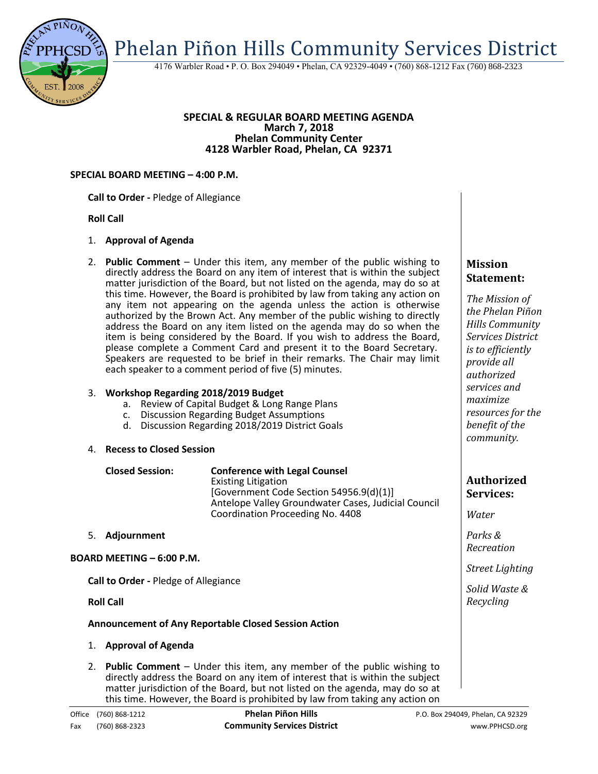

4176 Warbler Road • P. O. Box 294049 • Phelan, CA 92329-4049 • (760) 868-1212 Fax (760) 868-2323

#### **SPECIAL & REGULAR BOARD MEETING AGENDA March 7, 2018 Phelan Community Center 4128 Warbler Road, Phelan, CA 92371**

#### **SPECIAL BOARD MEETING – 4:00 P.M.**

**Call to Order -** Pledge of Allegiance

# **Roll Call**

# 1. **Approval of Agenda**

2. **Public Comment** – Under this item, any member of the public wishing to directly address the Board on any item of interest that is within the subject matter jurisdiction of the Board, but not listed on the agenda, may do so at this time. However, the Board is prohibited by law from taking any action on any item not appearing on the agenda unless the action is otherwise authorized by the Brown Act. Any member of the public wishing to directly address the Board on any item listed on the agenda may do so when the item is being considered by the Board. If you wish to address the Board, please complete a Comment Card and present it to the Board Secretary. Speakers are requested to be brief in their remarks. The Chair may limit each speaker to a comment period of five (5) minutes.

# 3. **Workshop Regarding 2018/2019 Budget**

- a. Review of Capital Budget & Long Range Plans
- c. Discussion Regarding Budget Assumptions
- d. Discussion Regarding 2018/2019 District Goals

#### 4. **Recess to Closed Session**

| <b>Closed Session:</b>           | <b>Conference with Legal Counsel</b><br><b>Existing Litigation</b><br>[Government Code Section 54956.9(d)(1)]<br>Antelope Valley Groundwater Cases, Judicial Council<br>Coordination Proceeding No. 4408 |
|----------------------------------|----------------------------------------------------------------------------------------------------------------------------------------------------------------------------------------------------------|
| Adjournment<br>5.                |                                                                                                                                                                                                          |
| <b>BOARD MEETING - 6:00 P.M.</b> |                                                                                                                                                                                                          |

**Call to Order -** Pledge of Allegiance

**Roll Call**

# **Announcement of Any Reportable Closed Session Action**

- 1. **Approval of Agenda**
- 2. **Public Comment**  Under this item, any member of the public wishing to directly address the Board on any item of interest that is within the subject matter jurisdiction of the Board, but not listed on the agenda, may do so at this time. However, the Board is prohibited by law from taking any action on

**Mission Statement:**

*The Mission of the Phelan Piñon Hills Community Services District is to efficiently provide all authorized services and maximize resources for the benefit of the community.*

# **Authorized Services:**

*Water*

*Parks & Recreation*

*Street Lighting*

*Solid Waste & Recycling*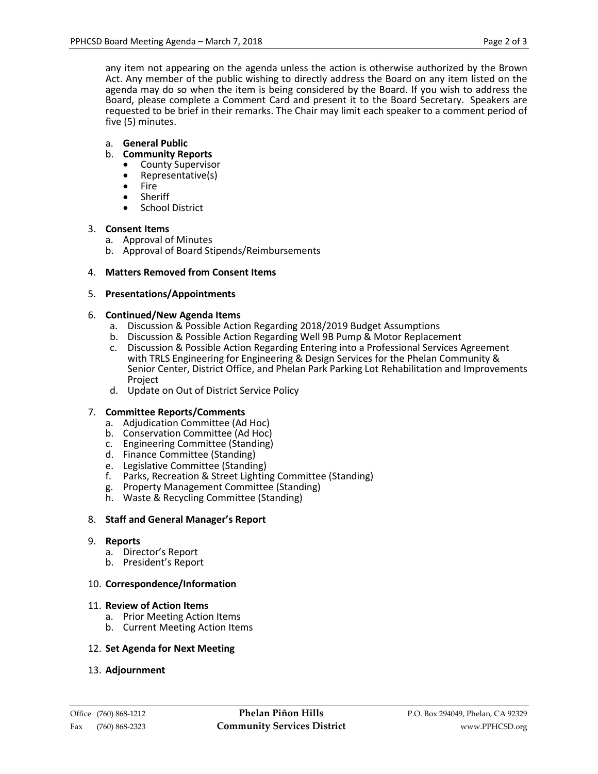any item not appearing on the agenda unless the action is otherwise authorized by the Brown Act. Any member of the public wishing to directly address the Board on any item listed on the agenda may do so when the item is being considered by the Board. If you wish to address the Board, please complete a Comment Card and present it to the Board Secretary. Speakers are requested to be brief in their remarks. The Chair may limit each speaker to a comment period of five (5) minutes.

# a. **General Public**

# b. **Community Reports**

- County Supervisor<br>• Representative(s)
- Representative(s)
- Fire
- Sheriff<br>• School
- School District

# 3. **Consent Items**

- a. Approval of Minutes
- b. Approval of Board Stipends/Reimbursements

# 4. **Matters Removed from Consent Items**

# 5. **Presentations/Appointments**

# 6. **Continued/New Agenda Items**

- a. Discussion & Possible Action Regarding 2018/2019 Budget Assumptions
- b. Discussion & Possible Action Regarding Well 9B Pump & Motor Replacement
- c. Discussion & Possible Action Regarding Entering into a Professional Services Agreement with TRLS Engineering for Engineering & Design Services for the Phelan Community & Senior Center, District Office, and Phelan Park Parking Lot Rehabilitation and Improvements Project
- d. Update on Out of District Service Policy

# 7. **Committee Reports/Comments**

- a. Adjudication Committee (Ad Hoc)
- b. Conservation Committee (Ad Hoc)
- c. Engineering Committee (Standing)
- d. Finance Committee (Standing)
- e. Legislative Committee (Standing)
- f. Parks, Recreation & Street Lighting Committee (Standing)
- g. Property Management Committee (Standing)
- h. Waste & Recycling Committee (Standing)

# 8. **Staff and General Manager's Report**

# 9. **Reports**

- a. Director's Report
- b. President's Report

# 10. **Correspondence/Information**

# 11. **Review of Action Items**

- a. Prior Meeting Action Items
- b. Current Meeting Action Items

# 12. **Set Agenda for Next Meeting**

# 13. **Adjournment**